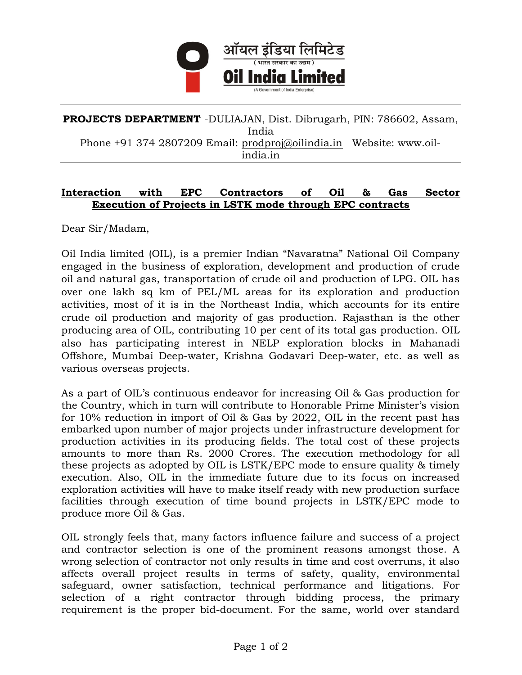

## PROJECTS DEPARTMENT - DULIAJAN, Dist. Dibrugarh, PIN: 786602, Assam, India Phone +91 374 2807209 Email: prodproj@oilindia.in Website: www.oilindia.in

## Interaction with EPC Contractors of Oil & Gas Sector Execution of Projects in LSTK mode through EPC contracts

Dear Sir/Madam,

Oil India limited (OIL), is a premier Indian "Navaratna" National Oil Company engaged in the business of exploration, development and production of crude oil and natural gas, transportation of crude oil and production of LPG. OIL has over one lakh sq km of PEL/ML areas for its exploration and production activities, most of it is in the Northeast India, which accounts for its entire crude oil production and majority of gas production. Rajasthan is the other producing area of OIL, contributing 10 per cent of its total gas production. OIL also has participating interest in NELP exploration blocks in Mahanadi Offshore, Mumbai Deep-water, Krishna Godavari Deep-water, etc. as well as various overseas projects.

As a part of OIL's continuous endeavor for increasing Oil & Gas production for the Country, which in turn will contribute to Honorable Prime Minister's vision for 10% reduction in import of Oil & Gas by 2022, OIL in the recent past has embarked upon number of major projects under infrastructure development for production activities in its producing fields. The total cost of these projects amounts to more than Rs. 2000 Crores. The execution methodology for all these projects as adopted by OIL is LSTK/EPC mode to ensure quality & timely execution. Also, OIL in the immediate future due to its focus on increased exploration activities will have to make itself ready with new production surface facilities through execution of time bound projects in LSTK/EPC mode to produce more Oil & Gas.

OIL strongly feels that, many factors influence failure and success of a project and contractor selection is one of the prominent reasons amongst those. A wrong selection of contractor not only results in time and cost overruns, it also affects overall project results in terms of safety, quality, environmental safeguard, owner satisfaction, technical performance and litigations. For selection of a right contractor through bidding process, the primary requirement is the proper bid-document. For the same, world over standard